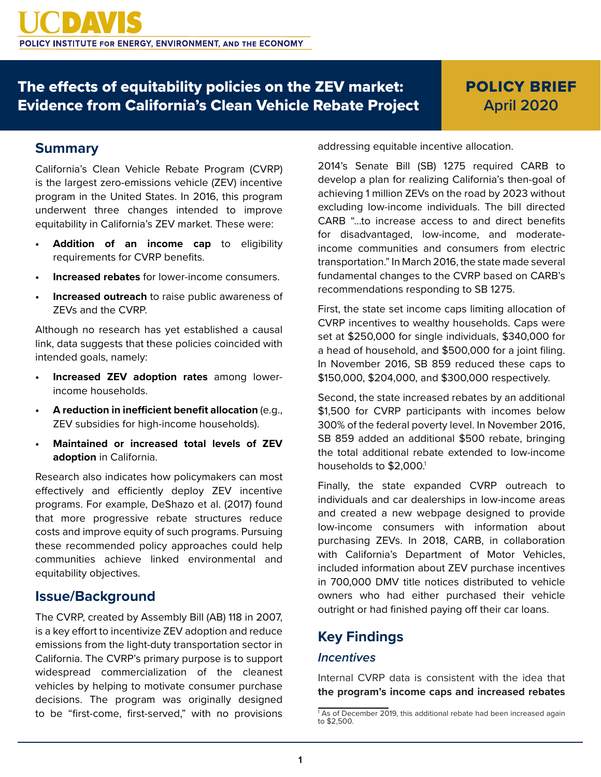## The effects of equitability policies on the ZEV market: Evidence from California's Clean Vehicle Rebate Project

# POLICY BRIEF **April 2020**

### **Summary**

California's Clean Vehicle Rebate Program (CVRP) is the largest zero-emissions vehicle (ZEV) incentive program in the United States. In 2016, this program underwent three changes intended to improve equitability in California's ZEV market. These were:

- **• Addition of an income cap** to eligibility requirements for CVRP benefits.
- **• Increased rebates** for lower-income consumers.
- **• Increased outreach** to raise public awareness of ZEVs and the CVRP.

Although no research has yet established a causal link, data suggests that these policies coincided with intended goals, namely:

- **• Increased ZEV adoption rates** among lowerincome households.
- **• A reduction in inefficient benefit allocation** (e.g., ZEV subsidies for high-income households).
- **• Maintained or increased total levels of ZEV adoption** in California.

Research also indicates how policymakers can most effectively and efficiently deploy ZEV incentive programs. For example, DeShazo et al. (2017) found that more progressive rebate structures reduce costs and improve equity of such programs. Pursuing these recommended policy approaches could help communities achieve linked environmental and equitability objectives.

### **Issue/Background**

The CVRP, created by Assembly Bill (AB) 118 in 2007, is a key effort to incentivize ZEV adoption and reduce emissions from the light-duty transportation sector in California. The CVRP's primary purpose is to support widespread commercialization of the cleanest vehicles by helping to motivate consumer purchase decisions. The program was originally designed to be "first-come, first-served," with no provisions

addressing equitable incentive allocation.

2014's Senate Bill (SB) 1275 required CARB to develop a plan for realizing California's then-goal of achieving 1 million ZEVs on the road by 2023 without excluding low-income individuals. The bill directed CARB "…to increase access to and direct benefits for disadvantaged, low-income, and moderateincome communities and consumers from electric transportation." In March 2016, the state made several fundamental changes to the CVRP based on CARB's recommendations responding to SB 1275.

First, the state set income caps limiting allocation of CVRP incentives to wealthy households. Caps were set at \$250,000 for single individuals, \$340,000 for a head of household, and \$500,000 for a joint filing. In November 2016, SB 859 reduced these caps to \$150,000, \$204,000, and \$300,000 respectively.

Second, the state increased rebates by an additional \$1,500 for CVRP participants with incomes below 300% of the federal poverty level. In November 2016, SB 859 added an additional \$500 rebate, bringing the total additional rebate extended to low-income households to \$2,000.<sup>1</sup>

Finally, the state expanded CVRP outreach to individuals and car dealerships in low-income areas and created a new webpage designed to provide low-income consumers with information about purchasing ZEVs. In 2018, CARB, in collaboration with California's Department of Motor Vehicles, included information about ZEV purchase incentives in 700,000 DMV title notices distributed to vehicle owners who had either purchased their vehicle outright or had finished paying off their car loans.

### **Key Findings**

#### *Incentives*

Internal CVRP data is consistent with the idea that **the program's income caps and increased rebates** 

<sup>&</sup>lt;sup>1</sup> As of December 2019, this additional rebate had been increased again  $to$  \$2,500.